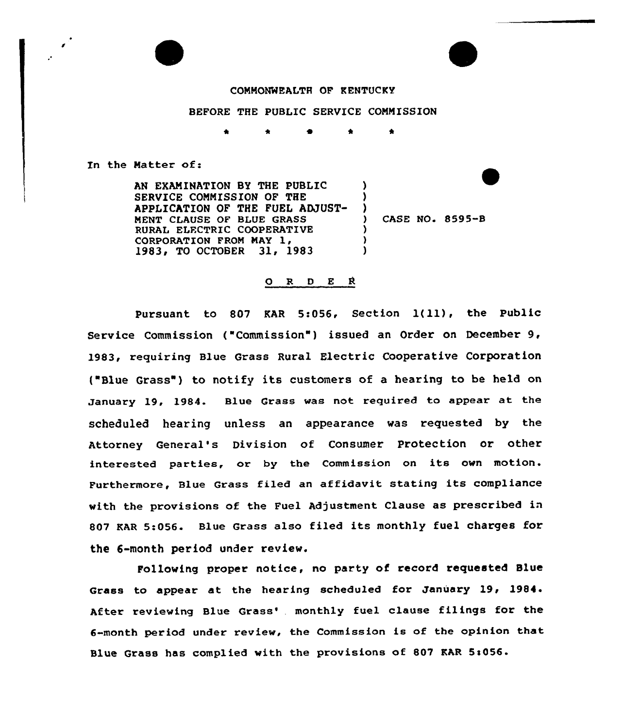

 $\mathbf{r}$ 

## CONMONREALTR OF KENTUCKY

BEFORE THE PUBLIC SERVICE COMNISSION

In the Natter of:

AN EXAMINATION BY THE PUBLIC SERVICE COMNISSION OF THE APPLICATION OF THE FUEL ADJUST-MENT CLAUSE OF BLUE GRASS RURAL ELFCTRIC COQPERATIVE CORPORATION FROM MAY 1, 1983, TO OCTOBER 31, 1983 ) )  $\frac{1}{2}$ ) ) )

) CASE NO. 8595-B

## ORDER

Pursuant to <sup>807</sup> KAR 5:056, Section l(11), the Public Service Commission ("Commission") issued an Order on December  $9$ , 1983, requiring Blue Grass Rural Electric Cooperative Corporation ("Blue Grass") to notify its customers of a hearing to be held on January 19, 1984. Blue Grass was not required to appear at the scheduled hearing unless an appearance was requested by the Attorney General's Division of Consumer protection or other interested parties, or by the Commission on its own motion. Furthermore, Blue Grass filed an affidavit stating its compliance with the provisions of the Fuel Adjustment Clause as prescribed in 807 KAR 5:056. Blue Grass also filed its monthly fuel charges for the 6-month period under review.

Following proper notice, no party of record requested Blue Grass to appear at the hearing scheduled for January 19, 1984. After reviewing Blue Grass', monthly fuel clause filings for the 6-month period under review, the Commission is of the opinion that Blue Grass has complied with the provisions of 807 KAR 5:056.